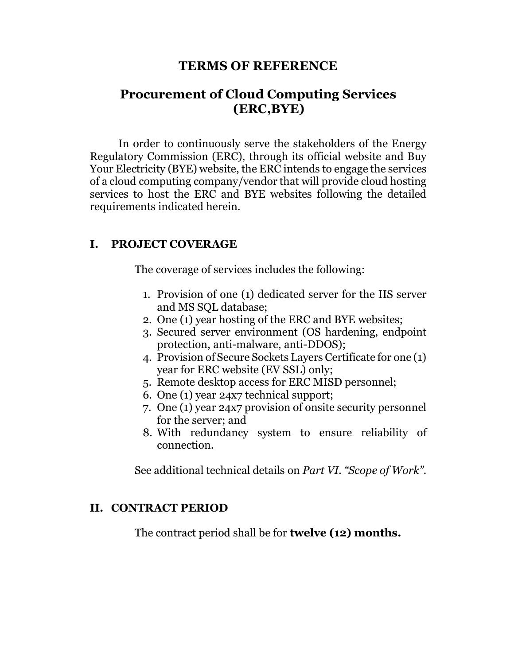## TERMS OF REFERENCE

# Procurement of Cloud Computing Services (ERC,BYE)

In order to continuously serve the stakeholders of the Energy Regulatory Commission (ERC), through its official website and Buy Your Electricity (BYE) website, the ERC intends to engage the services of a cloud computing company/vendor that will provide cloud hosting services to host the ERC and BYE websites following the detailed requirements indicated herein.

### I. PROJECT COVERAGE

The coverage of services includes the following:

- 1. Provision of one (1) dedicated server for the IIS server and MS SQL database;
- 2. One (1) year hosting of the ERC and BYE websites;
- 3. Secured server environment (OS hardening, endpoint protection, anti-malware, anti-DDOS);
- 4. Provision of Secure Sockets Layers Certificate for one (1) year for ERC website (EV SSL) only;
- 5. Remote desktop access for ERC MISD personnel;
- 6. One (1) year 24x7 technical support;
- 7. One (1) year 24x7 provision of onsite security personnel for the server; and
- 8. With redundancy system to ensure reliability of connection.

See additional technical details on Part VI. "Scope of Work".

### II. CONTRACT PERIOD

The contract period shall be for **twelve (12) months.**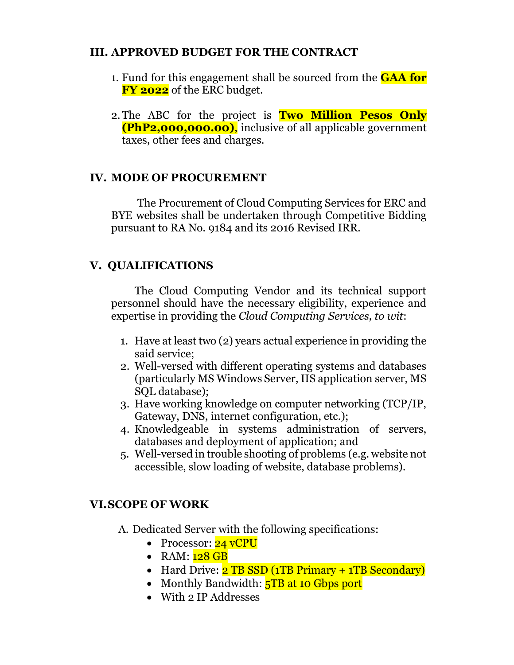### III. APPROVED BUDGET FOR THE CONTRACT

- 1. Fund for this engagement shall be sourced from the **GAA for FY 2022** of the ERC budget.
- 2. The ABC for the project is Two Million Pesos Only (PhP2,000,000.00), inclusive of all applicable government taxes, other fees and charges.

### IV. MODE OF PROCUREMENT

The Procurement of Cloud Computing Services for ERC and BYE websites shall be undertaken through Competitive Bidding pursuant to RA No. 9184 and its 2016 Revised IRR.

## V. QUALIFICATIONS

The Cloud Computing Vendor and its technical support personnel should have the necessary eligibility, experience and expertise in providing the Cloud Computing Services, to wit:

- 1. Have at least two (2) years actual experience in providing the said service;
- 2. Well-versed with different operating systems and databases (particularly MS Windows Server, IIS application server, MS SQL database);
- 3. Have working knowledge on computer networking (TCP/IP, Gateway, DNS, internet configuration, etc.);
- 4. Knowledgeable in systems administration of servers, databases and deployment of application; and
- 5. Well-versed in trouble shooting of problems (e.g. website not accessible, slow loading of website, database problems).

## VI.SCOPE OF WORK

- A. Dedicated Server with the following specifications:
	- Processor: 24 vCPU
	- RAM:  $128$  GB
	- Hard Drive: 2 TB SSD (1TB Primary + 1TB Secondary)
	- Monthly Bandwidth: **5TB at 10 Gbps port**
	- With 2 IP Addresses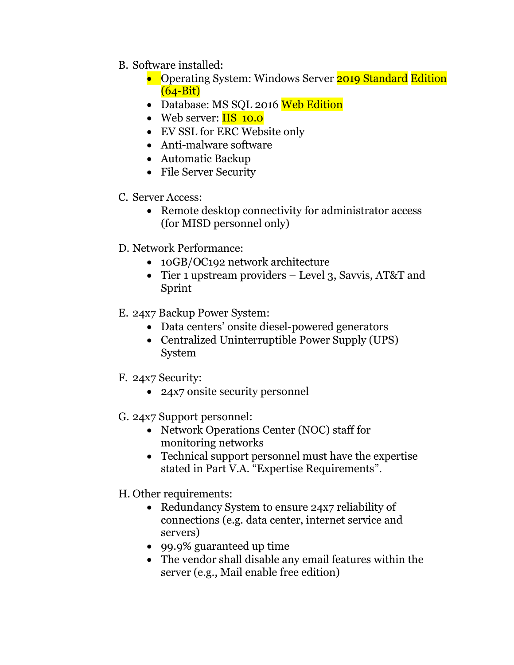- B. Software installed:
	- Operating System: Windows Server 2019 Standard Edition  $(64-Bit)$
	- Database: MS SQL 2016 Web Edition
	- Web server: **IIS 10.0**
	- EV SSL for ERC Website only
	- Anti-malware software
	- Automatic Backup
	- File Server Security
- C. Server Access:
	- Remote desktop connectivity for administrator access (for MISD personnel only)
- D. Network Performance:
	- 10GB/OC192 network architecture
	- Tier 1 upstream providers Level 3, Savvis, AT&T and Sprint
- E. 24x7 Backup Power System:
	- Data centers' onsite diesel-powered generators
	- Centralized Uninterruptible Power Supply (UPS) System
- F. 24x7 Security:
	- 24x7 onsite security personnel
- G. 24x7 Support personnel:
	- Network Operations Center (NOC) staff for monitoring networks
	- Technical support personnel must have the expertise stated in Part V.A. "Expertise Requirements".
- H. Other requirements:
	- Redundancy System to ensure 24x7 reliability of connections (e.g. data center, internet service and servers)
	- 99.9% guaranteed up time
	- The vendor shall disable any email features within the server (e.g., Mail enable free edition)